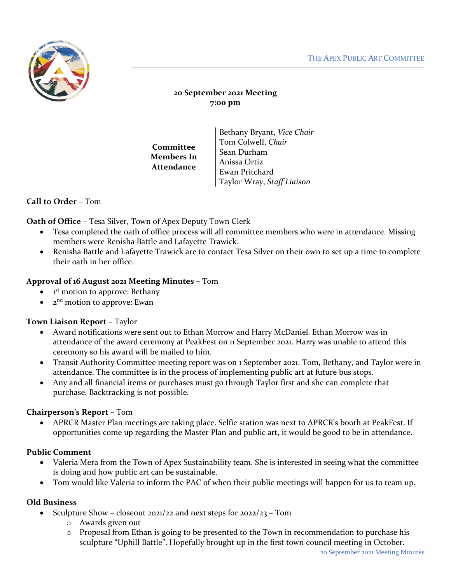

# **20 September 2021 Meeting 7:00 pm**

| Committee<br>Members In<br><b>Attendance</b> | Bethany Bryant, Vice Chair |
|----------------------------------------------|----------------------------|
|                                              | Tom Colwell, Chair         |
|                                              | Sean Durham                |
|                                              | Anissa Ortiz               |
|                                              | Ewan Pritchard             |
|                                              | Taylor Wray, Staff Liaison |

# **Call to Order** – Tom

**Oath of Office** – Tesa Silver, Town of Apex Deputy Town Clerk

- Tesa completed the oath of office process will all committee members who were in attendance. Missing members were Renisha Battle and Lafayette Trawick.
- Renisha Battle and Lafayette Trawick are to contact Tesa Silver on their own to set up a time to complete their oath in her office.

### **Approval of 16 August 2021 Meeting Minutes** – Tom

- $\bullet$  1<sup>st</sup> motion to approve: Bethany
- 2<sup>nd</sup> motion to approve: Ewan

### **Town Liaison Report** – Taylor

- Award notifications were sent out to Ethan Morrow and Harry McDaniel. Ethan Morrow was in attendance of the award ceremony at PeakFest on 11 September 2021. Harry was unable to attend this ceremony so his award will be mailed to him.
- Transit Authority Committee meeting report was on 1 September 2021. Tom, Bethany, and Taylor were in attendance. The committee is in the process of implementing public art at future bus stops.
- Any and all financial items or purchases must go through Taylor first and she can complete that purchase. Backtracking is not possible.

## **Chairperson's Report** – Tom

• APRCR Master Plan meetings are taking place. Selfie station was next to APRCR's booth at PeakFest. If opportunities come up regarding the Master Plan and public art, it would be good to be in attendance.

### **Public Comment**

- Valeria Mera from the Town of Apex Sustainability team. She is interested in seeing what the committee is doing and how public art can be sustainable.
- Tom would like Valeria to inform the PAC of when their public meetings will happen for us to team up.

### **Old Business**

- Sculpture Show closeout 2021/22 and next steps for  $2022/23$  Tom
	- o Awards given out
	- $\circ$  Proposal from Ethan is going to be presented to the Town in recommendation to purchase his sculpture "Uphill Battle". Hopefully brought up in the first town council meeting in October.